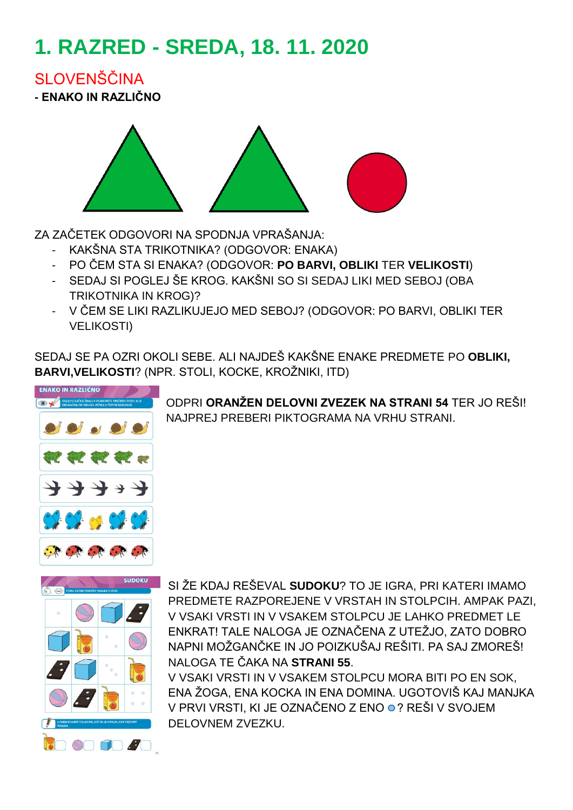# **1. RAZRED - SREDA, 18. 11. 2020**

SI OVENŠČINA

**- ENAKO IN RAZLIČNO**



ZA ZAČETEK ODGOVORI NA SPODNJA VPRAŠANJA:

- KAKŠNA STA TRIKOTNIKA? (ODGOVOR: ENAKA)
- PO ČEM STA SI ENAKA? (ODGOVOR: **PO BARVI, OBLIKI** TER **VELIKOSTI**)
- SEDAJ SI POGLEJ ŠE KROG. KAKŠNI SO SI SEDAJ LIKI MED SEBOJ (OBA TRIKOTNIKA IN KROG)?
- V ČEM SE LIKI RAZLIKUJEJO MED SEBOJ? (ODGOVOR: PO BARVI, OBLIKI TER VELIKOSTI)

SEDAJ SE PA OZRI OKOLI SEBE. ALI NAJDEŠ KAKŠNE ENAKE PREDMETE PO **OBLIKI, BARVI,VELIKOSTI**? (NPR. STOLI, KOCKE, KROŽNIKI, ITD)



ODPRI **ORANŽEN DELOVNI ZVEZEK NA STRANI 54** TER JO REŠI! NAJPREJ PREBERI PIKTOGRAMA NA VRHU STRANI.



SI ŽE KDAJ REŠEVAL **SUDOKU**? TO JE IGRA, PRI KATERI IMAMO PREDMETE RAZPOREJENE V VRSTAH IN STOLPCIH. AMPAK PAZI, V VSAKI VRSTI IN V VSAKEM STOLPCU JE LAHKO PREDMET LE ENKRAT! TALE NALOGA JE OZNAČENA Z UTEŽJO, ZATO DOBRO NAPNI MOŽGANČKE IN JO POIZKUŠAJ REŠITI. PA SAJ ZMOREŠ! NALOGA TE ČAKA NA **STRANI 55**.

V VSAKI VRSTI IN V VSAKEM STOLPCU MORA BITI PO EN SOK, ENA ŽOGA, ENA KOCKA IN ENA DOMINA. UGOTOVIŠ KAJ MANJKA V PRVI VRSTI, KI JE OZNAČENO Z ENO ● ? REŠI V SVOJEM DELOVNEM ZVEZKU.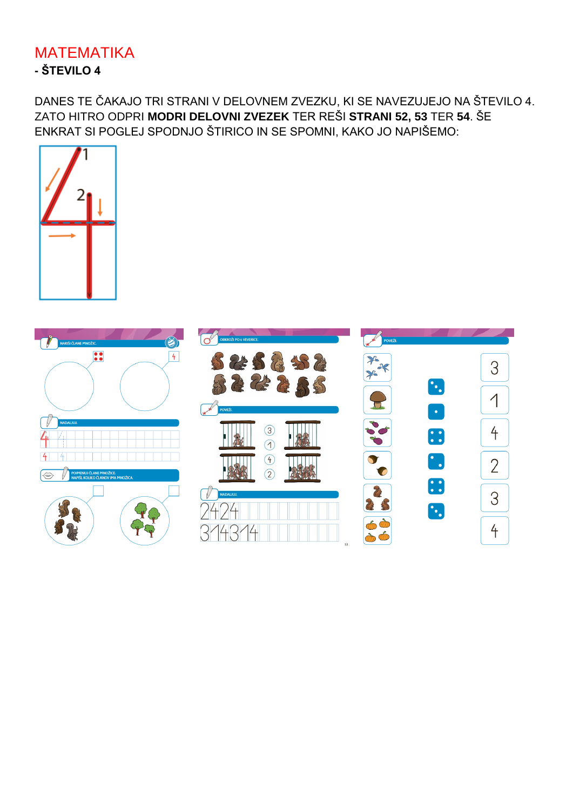### **MATEMATIKA** - ŠTEVILO 4

DANES TE ČAKAJO TRI STRANI V DELOVNEM ZVEZKU, KI SE NAVEZUJEJO NA ŠTEVILO 4. ZATO HITRO ODPRI MODRI DELOVNI ZVEZEK TER REŠI STRANI 52, 53 TER 54. ŠE ENKRAT SI POGLEJ SPODNJO ŠTIRICO IN SE SPOMNI. KAKO JO NAPIŠEMO:



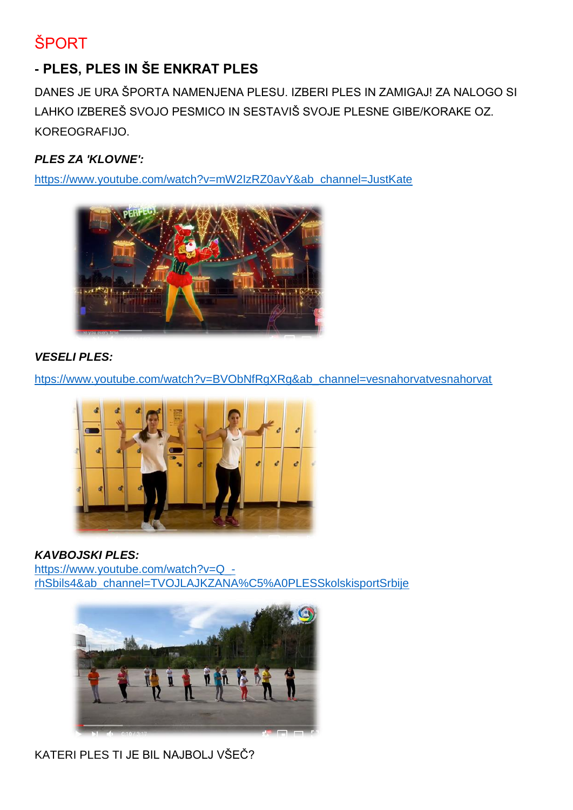# **ŠPORT**

## **- PLES, PLES IN ŠE ENKRAT PLES**

DANES JE URA ŠPORTA NAMENJENA PLESU. IZBERI PLES IN ZAMIGAJ! ZA NALOGO SI LAHKO IZBEREŠ SVOJO PESMICO IN SESTAVIŠ SVOJE PLESNE GIBE/KORAKE OZ. KOREOGRAFIJO.

#### *PLES ZA 'KLOVNE':*

[https://www.youtube.com/watch?v=mW2IzRZ0avY&ab\\_channel=JustKate](https://www.youtube.com/watch?v=mW2IzRZ0avY&ab_channel=JustKate)



#### *VESELI PLES:*

[htps://www.youtube.com/watch?v=BVObNfRgXRg&ab\\_channel=vesnahorvatvesnahorvat](https://www.youtube.com/watch?v=BVObNfRgXRg&ab_channel=vesnahorvatvesnahorvat)



*KAVBOJSKI PLES:* [https://www.youtube.com/watch?v=Q\\_](https://www.youtube.com/watch?v=Q_-rhSbils4&ab_channel=TVOJLAJKZANA%C5%A0PLESSkolskisportSrbije) [rhSbils4&ab\\_channel=TVOJLAJKZANA%C5%A0PLESSkolskisportSrbije](https://www.youtube.com/watch?v=Q_-rhSbils4&ab_channel=TVOJLAJKZANA%C5%A0PLESSkolskisportSrbije)



KATERI PLES TI JE BIL NAJBOLJ VŠEČ?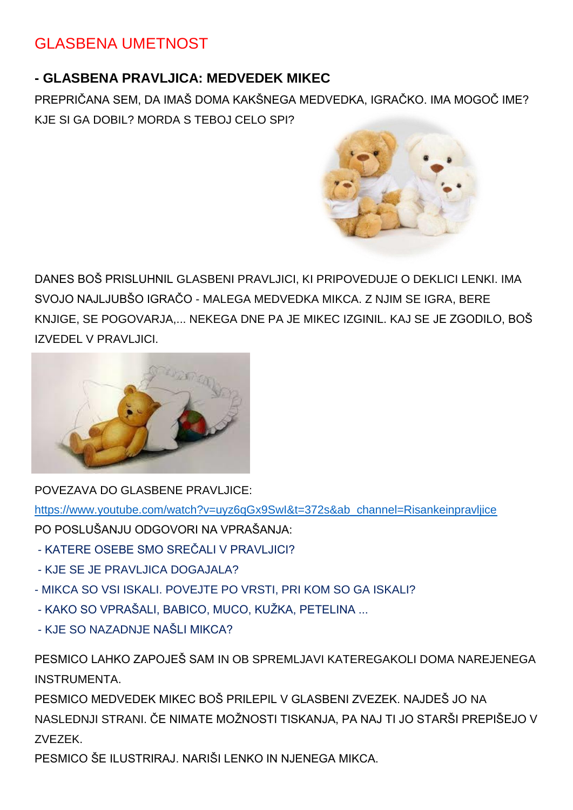## GLASBENA UMETNOST

#### **- GLASBENA PRAVLJICA: MEDVEDEK MIKEC**

PREPRIČANA SEM, DA IMAŠ DOMA KAKŠNEGA MEDVEDKA, IGRAČKO. IMA MOGOČ IME? KJE SI GA DOBIL? MORDA S TEBOJ CELO SPI?



DANES BOŠ PRISLUHNIL GLASBENI PRAVLJICI, KI PRIPOVEDUJE O DEKLICI LENKI. IMA SVOJO NAJLJUBŠO IGRAČO - MALEGA MEDVEDKA MIKCA. Z NJIM SE IGRA, BERE KNJIGE, SE POGOVARJA,... NEKEGA DNE PA JE MIKEC IZGINIL. KAJ SE JE ZGODILO, BOŠ IZVEDEL V PRAVLJICI.



POVEZAVA DO GLASBENE PRAVLJICE:

[https://www.youtube.com/watch?v=uyz6qGx9SwI&t=372s&ab\\_channel=Risankeinpravljice](https://www.youtube.com/watch?v=uyz6qGx9SwI&t=372s&ab_channel=Risankeinpravljice)

PO POSLUŠANJU ODGOVORI NA VPRAŠANJA:

- KATERE OSEBE SMO SREČALI V PRAVLJICI?
- KJE SE JE PRAVLJICA DOGAJALA?
- MIKCA SO VSI ISKALI. POVEJTE PO VRSTI, PRI KOM SO GA ISKALI?
- KAKO SO VPRAŠALI, BABICO, MUCO, KUŽKA, PETELINA ...
- KJE SO NAZADNJE NAŠLI MIKCA?

PESMICO LAHKO ZAPOJEŠ SAM IN OB SPREMLJAVI KATEREGAKOLI DOMA NAREJENEGA INSTRUMENTA.

PESMICO MEDVEDEK MIKEC BOŠ PRILEPIL V GLASBENI ZVEZEK. NAJDEŠ JO NA NASLEDNJI STRANI. ČE NIMATE MOŽNOSTI TISKANJA, PA NAJ TI JO STARŠI PREPIŠEJO V ZVEZEK.

PESMICO ŠE ILUSTRIRAJ. NARIŠI LENKO IN NJENEGA MIKCA.